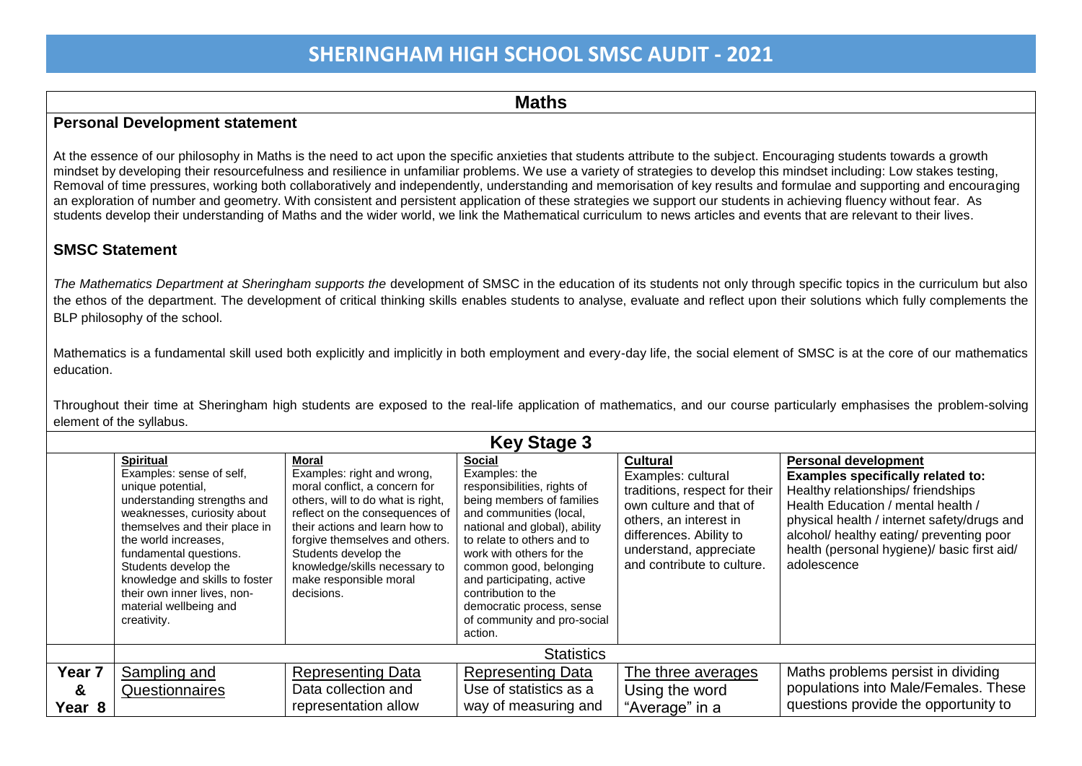#### **Maths**

#### **Personal Development statement**

At the essence of our philosophy in Maths is the need to act upon the specific anxieties that students attribute to the subject. Encouraging students towards a growth mindset by developing their resourcefulness and resilience in unfamiliar problems. We use a variety of strategies to develop this mindset including: Low stakes testing, Removal of time pressures, working both collaboratively and independently, understanding and memorisation of key results and formulae and supporting and encouraging an exploration of number and geometry. With consistent and persistent application of these strategies we support our students in achieving fluency without fear. As students develop their understanding of Maths and the wider world, we link the Mathematical curriculum to news articles and events that are relevant to their lives.

#### **SMSC Statement**

*The Mathematics Department at Sheringham supports the* development of SMSC in the education of its students not only through specific topics in the curriculum but also the ethos of the department. The development of critical thinking skills enables students to analyse, evaluate and reflect upon their solutions which fully complements the BLP philosophy of the school.

Mathematics is a fundamental skill used both explicitly and implicitly in both employment and every-day life, the social element of SMSC is at the core of our mathematics education.

Throughout their time at Sheringham high students are exposed to the real-life application of mathematics, and our course particularly emphasises the problem-solving element of the syllabus.

| <b>Key Stage 3</b> |                                                                                                                                                                                                                                                                                                                                                      |                                                                                                                                                                                                                                                                                                                  |                                                                                                                                                                                                                                                                                                                                                                       |                                                                                                                                                                                                                |                                                                                                                                                                                                                                                                                                             |  |  |
|--------------------|------------------------------------------------------------------------------------------------------------------------------------------------------------------------------------------------------------------------------------------------------------------------------------------------------------------------------------------------------|------------------------------------------------------------------------------------------------------------------------------------------------------------------------------------------------------------------------------------------------------------------------------------------------------------------|-----------------------------------------------------------------------------------------------------------------------------------------------------------------------------------------------------------------------------------------------------------------------------------------------------------------------------------------------------------------------|----------------------------------------------------------------------------------------------------------------------------------------------------------------------------------------------------------------|-------------------------------------------------------------------------------------------------------------------------------------------------------------------------------------------------------------------------------------------------------------------------------------------------------------|--|--|
|                    | <b>Spiritual</b><br>Examples: sense of self,<br>unique potential,<br>understanding strengths and<br>weaknesses, curiosity about<br>themselves and their place in<br>the world increases.<br>fundamental questions.<br>Students develop the<br>knowledge and skills to foster<br>their own inner lives, non-<br>material wellbeing and<br>creativity. | Moral<br>Examples: right and wrong,<br>moral conflict, a concern for<br>others, will to do what is right,<br>reflect on the consequences of<br>their actions and learn how to<br>forgive themselves and others.<br>Students develop the<br>knowledge/skills necessary to<br>make responsible moral<br>decisions. | <b>Social</b><br>Examples: the<br>responsibilities, rights of<br>being members of families<br>and communities (local,<br>national and global), ability<br>to relate to others and to<br>work with others for the<br>common good, belonging<br>and participating, active<br>contribution to the<br>democratic process, sense<br>of community and pro-social<br>action. | <b>Cultural</b><br>Examples: cultural<br>traditions, respect for their<br>own culture and that of<br>others, an interest in<br>differences. Ability to<br>understand, appreciate<br>and contribute to culture. | <b>Personal development</b><br><b>Examples specifically related to:</b><br>Healthy relationships/friendships<br>Health Education / mental health /<br>physical health / internet safety/drugs and<br>alcohol/ healthy eating/ preventing poor<br>health (personal hygiene)/ basic first aid/<br>adolescence |  |  |
|                    |                                                                                                                                                                                                                                                                                                                                                      |                                                                                                                                                                                                                                                                                                                  | <b>Statistics</b>                                                                                                                                                                                                                                                                                                                                                     |                                                                                                                                                                                                                |                                                                                                                                                                                                                                                                                                             |  |  |
| Year <sub>7</sub>  | Sampling and                                                                                                                                                                                                                                                                                                                                         | <b>Representing Data</b>                                                                                                                                                                                                                                                                                         | <b>Representing Data</b>                                                                                                                                                                                                                                                                                                                                              | The three averages                                                                                                                                                                                             | Maths problems persist in dividing                                                                                                                                                                                                                                                                          |  |  |
| &                  | Questionnaires                                                                                                                                                                                                                                                                                                                                       | Data collection and                                                                                                                                                                                                                                                                                              | Use of statistics as a                                                                                                                                                                                                                                                                                                                                                | Using the word                                                                                                                                                                                                 | populations into Male/Females. These                                                                                                                                                                                                                                                                        |  |  |
| Year 8             |                                                                                                                                                                                                                                                                                                                                                      | representation allow                                                                                                                                                                                                                                                                                             | way of measuring and                                                                                                                                                                                                                                                                                                                                                  | "Average" in a                                                                                                                                                                                                 | questions provide the opportunity to                                                                                                                                                                                                                                                                        |  |  |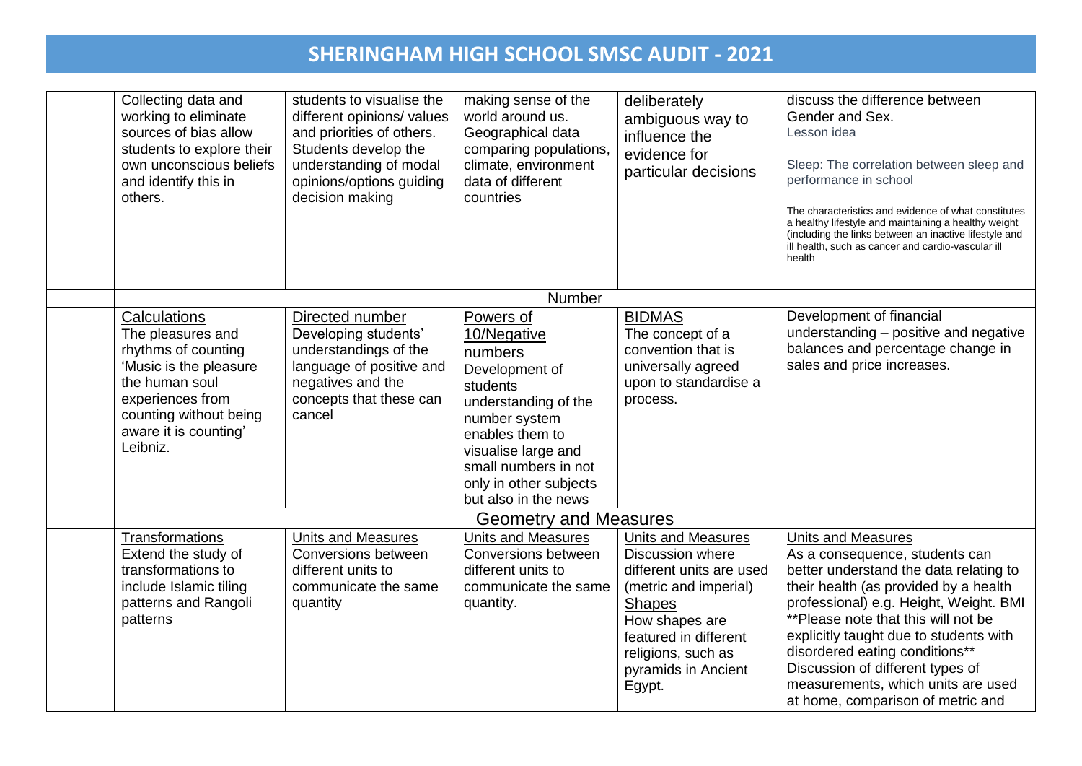| Collecting data and<br>working to eliminate<br>sources of bias allow<br>students to explore their<br>own unconscious beliefs<br>and identify this in<br>others.                         | students to visualise the<br>different opinions/ values<br>and priorities of others.<br>Students develop the<br>understanding of modal<br>opinions/options guiding<br>decision making | making sense of the<br>world around us.<br>Geographical data<br>comparing populations,<br>climate, environment<br>data of different<br>countries                                                                               | deliberately<br>ambiguous way to<br>influence the<br>evidence for<br>particular decisions                                                                                                                                    | discuss the difference between<br>Gender and Sex.<br>Lesson idea<br>Sleep: The correlation between sleep and<br>performance in school<br>The characteristics and evidence of what constitutes<br>a healthy lifestyle and maintaining a healthy weight<br>(including the links between an inactive lifestyle and<br>ill health, such as cancer and cardio-vascular ill<br>health                                            |
|-----------------------------------------------------------------------------------------------------------------------------------------------------------------------------------------|---------------------------------------------------------------------------------------------------------------------------------------------------------------------------------------|--------------------------------------------------------------------------------------------------------------------------------------------------------------------------------------------------------------------------------|------------------------------------------------------------------------------------------------------------------------------------------------------------------------------------------------------------------------------|----------------------------------------------------------------------------------------------------------------------------------------------------------------------------------------------------------------------------------------------------------------------------------------------------------------------------------------------------------------------------------------------------------------------------|
|                                                                                                                                                                                         |                                                                                                                                                                                       | Number                                                                                                                                                                                                                         |                                                                                                                                                                                                                              |                                                                                                                                                                                                                                                                                                                                                                                                                            |
| Calculations<br>The pleasures and<br>rhythms of counting<br>'Music is the pleasure<br>the human soul<br>experiences from<br>counting without being<br>aware it is counting'<br>Leibniz. | Directed number<br>Developing students'<br>understandings of the<br>language of positive and<br>negatives and the<br>concepts that these can<br>cancel                                | Powers of<br>10/Negative<br>numbers<br>Development of<br>students<br>understanding of the<br>number system<br>enables them to<br>visualise large and<br>small numbers in not<br>only in other subjects<br>but also in the news | <b>BIDMAS</b><br>The concept of a<br>convention that is<br>universally agreed<br>upon to standardise a<br>process.                                                                                                           | Development of financial<br>understanding - positive and negative<br>balances and percentage change in<br>sales and price increases.                                                                                                                                                                                                                                                                                       |
|                                                                                                                                                                                         |                                                                                                                                                                                       | <b>Geometry and Measures</b>                                                                                                                                                                                                   |                                                                                                                                                                                                                              |                                                                                                                                                                                                                                                                                                                                                                                                                            |
| Transformations<br>Extend the study of<br>transformations to<br>include Islamic tiling<br>patterns and Rangoli<br>patterns                                                              | <b>Units and Measures</b><br>Conversions between<br>different units to<br>communicate the same<br>quantity                                                                            | <b>Units and Measures</b><br>Conversions between<br>different units to<br>communicate the same<br>quantity.                                                                                                                    | <b>Units and Measures</b><br><b>Discussion where</b><br>different units are used<br>(metric and imperial)<br><b>Shapes</b><br>How shapes are<br>featured in different<br>religions, such as<br>pyramids in Ancient<br>Egypt. | <b>Units and Measures</b><br>As a consequence, students can<br>better understand the data relating to<br>their health (as provided by a health<br>professional) e.g. Height, Weight. BMI<br>**Please note that this will not be<br>explicitly taught due to students with<br>disordered eating conditions**<br>Discussion of different types of<br>measurements, which units are used<br>at home, comparison of metric and |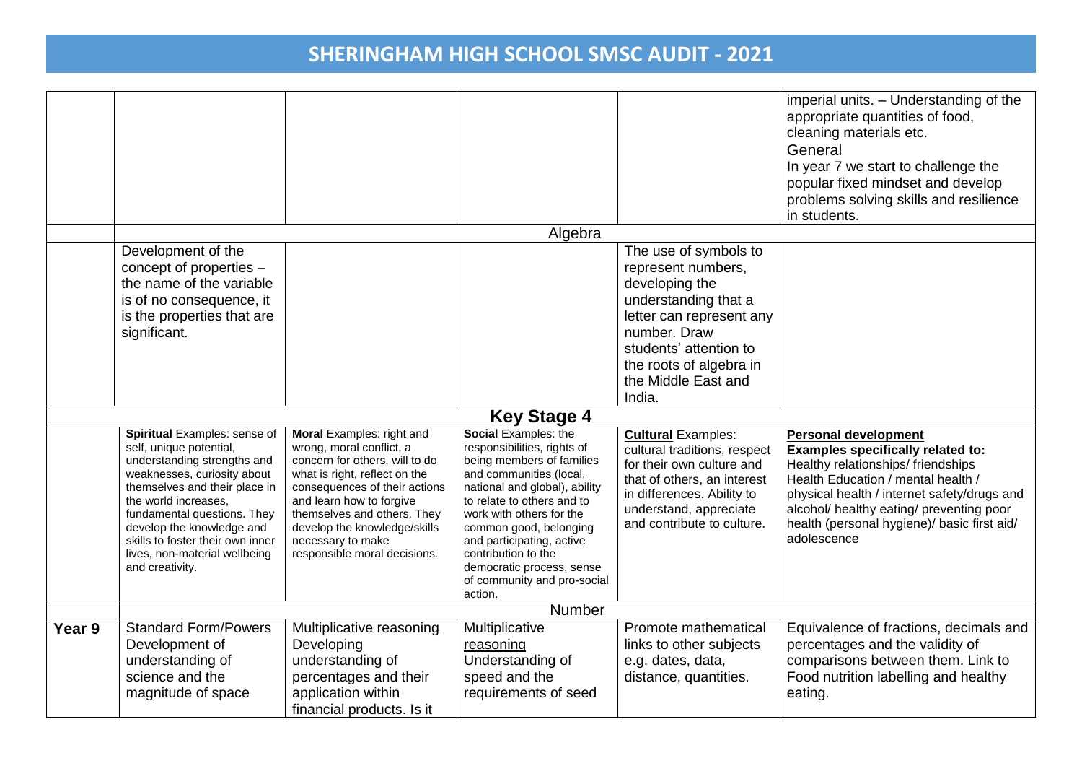|        |                                                                                                                                                                                                                                                                                                                                           |                                                                                                                                                                                                                                                                                                                  |                                                                                                                                                                                                                                                                                                                                                             |                                                                                                                                                                                                                         | imperial units. - Understanding of the<br>appropriate quantities of food,<br>cleaning materials etc.<br>General<br>In year 7 we start to challenge the<br>popular fixed mindset and develop<br>problems solving skills and resilience<br>in students.                                                |
|--------|-------------------------------------------------------------------------------------------------------------------------------------------------------------------------------------------------------------------------------------------------------------------------------------------------------------------------------------------|------------------------------------------------------------------------------------------------------------------------------------------------------------------------------------------------------------------------------------------------------------------------------------------------------------------|-------------------------------------------------------------------------------------------------------------------------------------------------------------------------------------------------------------------------------------------------------------------------------------------------------------------------------------------------------------|-------------------------------------------------------------------------------------------------------------------------------------------------------------------------------------------------------------------------|------------------------------------------------------------------------------------------------------------------------------------------------------------------------------------------------------------------------------------------------------------------------------------------------------|
|        |                                                                                                                                                                                                                                                                                                                                           |                                                                                                                                                                                                                                                                                                                  | Algebra                                                                                                                                                                                                                                                                                                                                                     |                                                                                                                                                                                                                         |                                                                                                                                                                                                                                                                                                      |
|        | Development of the<br>concept of properties -<br>the name of the variable<br>is of no consequence, it<br>is the properties that are<br>significant.                                                                                                                                                                                       |                                                                                                                                                                                                                                                                                                                  |                                                                                                                                                                                                                                                                                                                                                             | The use of symbols to<br>represent numbers,<br>developing the<br>understanding that a<br>letter can represent any<br>number. Draw<br>students' attention to<br>the roots of algebra in<br>the Middle East and<br>India. |                                                                                                                                                                                                                                                                                                      |
|        |                                                                                                                                                                                                                                                                                                                                           |                                                                                                                                                                                                                                                                                                                  | <b>Key Stage 4</b>                                                                                                                                                                                                                                                                                                                                          |                                                                                                                                                                                                                         |                                                                                                                                                                                                                                                                                                      |
|        | <b>Spiritual Examples: sense of</b><br>self, unique potential,<br>understanding strengths and<br>weaknesses, curiosity about<br>themselves and their place in<br>the world increases,<br>fundamental questions. They<br>develop the knowledge and<br>skills to foster their own inner<br>lives, non-material wellbeing<br>and creativity. | <b>Moral</b> Examples: right and<br>wrong, moral conflict, a<br>concern for others, will to do<br>what is right, reflect on the<br>consequences of their actions<br>and learn how to forgive<br>themselves and others. They<br>develop the knowledge/skills<br>necessary to make<br>responsible moral decisions. | Social Examples: the<br>responsibilities, rights of<br>being members of families<br>and communities (local,<br>national and global), ability<br>to relate to others and to<br>work with others for the<br>common good, belonging<br>and participating, active<br>contribution to the<br>democratic process, sense<br>of community and pro-social<br>action. | <b>Cultural Examples:</b><br>cultural traditions, respect<br>for their own culture and<br>that of others, an interest<br>in differences. Ability to<br>understand, appreciate<br>and contribute to culture.             | <b>Personal development</b><br>Examples specifically related to:<br>Healthy relationships/friendships<br>Health Education / mental health /<br>physical health / internet safety/drugs and<br>alcohol/ healthy eating/ preventing poor<br>health (personal hygiene)/ basic first aid/<br>adolescence |
|        |                                                                                                                                                                                                                                                                                                                                           |                                                                                                                                                                                                                                                                                                                  | <b>Number</b>                                                                                                                                                                                                                                                                                                                                               |                                                                                                                                                                                                                         |                                                                                                                                                                                                                                                                                                      |
| Year 9 | <b>Standard Form/Powers</b><br>Development of<br>understanding of<br>science and the<br>magnitude of space                                                                                                                                                                                                                                | Multiplicative reasoning<br>Developing<br>understanding of<br>percentages and their<br>application within<br>financial products. Is it                                                                                                                                                                           | Multiplicative<br>reasoning<br>Understanding of<br>speed and the<br>requirements of seed                                                                                                                                                                                                                                                                    | Promote mathematical<br>links to other subjects<br>e.g. dates, data,<br>distance, quantities.                                                                                                                           | Equivalence of fractions, decimals and<br>percentages and the validity of<br>comparisons between them. Link to<br>Food nutrition labelling and healthy<br>eating.                                                                                                                                    |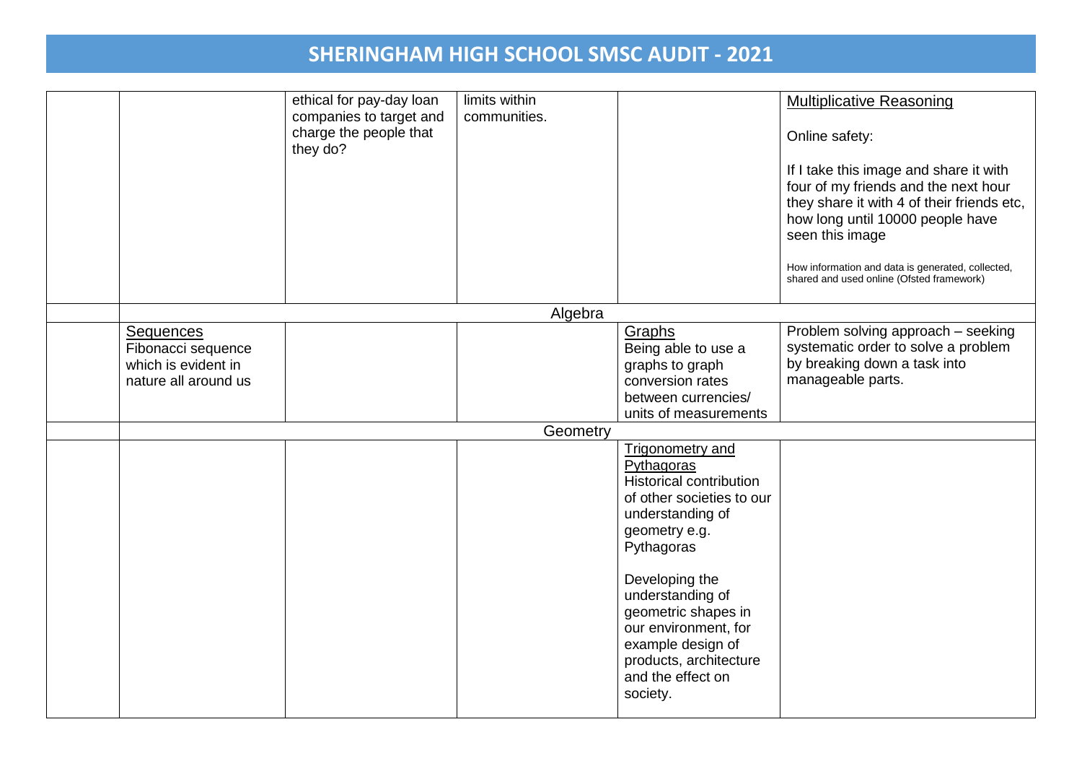|                                                                                       | ethical for pay-day loan<br>companies to target and<br>charge the people that<br>they do? | limits within<br>communities. |                                                                                                                                                                                                                                                                                                                              | <b>Multiplicative Reasoning</b><br>Online safety:<br>If I take this image and share it with<br>four of my friends and the next hour<br>they share it with 4 of their friends etc,<br>how long until 10000 people have<br>seen this image<br>How information and data is generated, collected,<br>shared and used online (Ofsted framework) |
|---------------------------------------------------------------------------------------|-------------------------------------------------------------------------------------------|-------------------------------|------------------------------------------------------------------------------------------------------------------------------------------------------------------------------------------------------------------------------------------------------------------------------------------------------------------------------|--------------------------------------------------------------------------------------------------------------------------------------------------------------------------------------------------------------------------------------------------------------------------------------------------------------------------------------------|
|                                                                                       |                                                                                           | Algebra                       |                                                                                                                                                                                                                                                                                                                              |                                                                                                                                                                                                                                                                                                                                            |
| <b>Sequences</b><br>Fibonacci sequence<br>which is evident in<br>nature all around us |                                                                                           |                               | Graphs<br>Being able to use a<br>graphs to graph<br>conversion rates<br>between currencies/<br>units of measurements                                                                                                                                                                                                         | Problem solving approach - seeking<br>systematic order to solve a problem<br>by breaking down a task into<br>manageable parts.                                                                                                                                                                                                             |
|                                                                                       |                                                                                           | Geometry                      |                                                                                                                                                                                                                                                                                                                              |                                                                                                                                                                                                                                                                                                                                            |
|                                                                                       |                                                                                           |                               | <b>Trigonometry and</b><br>Pythagoras<br><b>Historical contribution</b><br>of other societies to our<br>understanding of<br>geometry e.g.<br>Pythagoras<br>Developing the<br>understanding of<br>geometric shapes in<br>our environment, for<br>example design of<br>products, architecture<br>and the effect on<br>society. |                                                                                                                                                                                                                                                                                                                                            |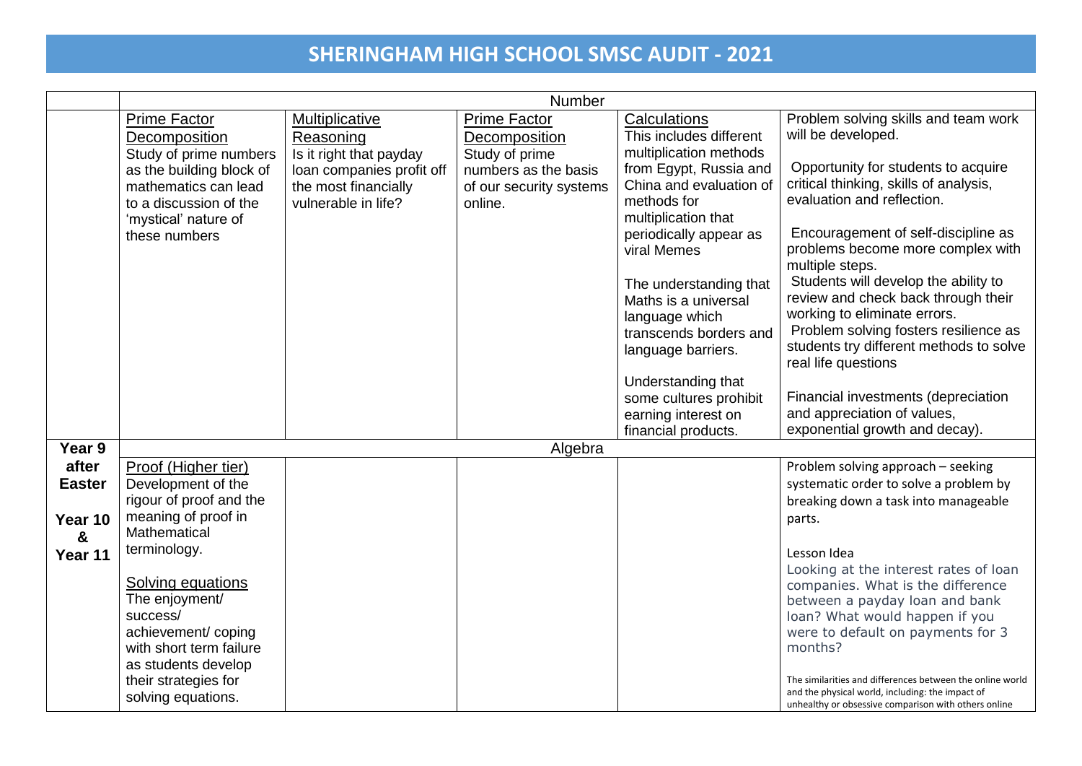|               | Number                                                                                                                         |                                                                                                     |                                                                              |                                                                                                                   |                                                                                                                                                                                                                        |  |
|---------------|--------------------------------------------------------------------------------------------------------------------------------|-----------------------------------------------------------------------------------------------------|------------------------------------------------------------------------------|-------------------------------------------------------------------------------------------------------------------|------------------------------------------------------------------------------------------------------------------------------------------------------------------------------------------------------------------------|--|
|               | <b>Prime Factor</b><br>Decomposition                                                                                           | Multiplicative<br>Reasoning                                                                         | <b>Prime Factor</b><br>Decomposition                                         | Calculations<br>This includes different                                                                           | Problem solving skills and team work<br>will be developed.                                                                                                                                                             |  |
|               | Study of prime numbers<br>as the building block of<br>mathematics can lead<br>to a discussion of the<br>'mystical' nature of   | Is it right that payday<br>loan companies profit off<br>the most financially<br>vulnerable in life? | Study of prime<br>numbers as the basis<br>of our security systems<br>online. | multiplication methods<br>from Egypt, Russia and<br>China and evaluation of<br>methods for<br>multiplication that | Opportunity for students to acquire<br>critical thinking, skills of analysis,<br>evaluation and reflection.                                                                                                            |  |
|               | these numbers                                                                                                                  |                                                                                                     |                                                                              | periodically appear as<br>viral Memes                                                                             | Encouragement of self-discipline as<br>problems become more complex with<br>multiple steps.                                                                                                                            |  |
|               |                                                                                                                                |                                                                                                     |                                                                              | The understanding that<br>Maths is a universal<br>language which<br>transcends borders and<br>language barriers.  | Students will develop the ability to<br>review and check back through their<br>working to eliminate errors.<br>Problem solving fosters resilience as<br>students try different methods to solve<br>real life questions |  |
|               |                                                                                                                                |                                                                                                     |                                                                              | Understanding that<br>some cultures prohibit<br>earning interest on<br>financial products.                        | Financial investments (depreciation<br>and appreciation of values,<br>exponential growth and decay).                                                                                                                   |  |
| Year 9        |                                                                                                                                |                                                                                                     | Algebra                                                                      |                                                                                                                   |                                                                                                                                                                                                                        |  |
| after         | Proof (Higher tier)                                                                                                            |                                                                                                     |                                                                              |                                                                                                                   | Problem solving approach - seeking                                                                                                                                                                                     |  |
| <b>Easter</b> | Development of the                                                                                                             |                                                                                                     |                                                                              |                                                                                                                   | systematic order to solve a problem by                                                                                                                                                                                 |  |
|               | rigour of proof and the                                                                                                        |                                                                                                     |                                                                              |                                                                                                                   | breaking down a task into manageable                                                                                                                                                                                   |  |
| Year 10       | meaning of proof in                                                                                                            |                                                                                                     |                                                                              |                                                                                                                   | parts.                                                                                                                                                                                                                 |  |
| &             | Mathematical                                                                                                                   |                                                                                                     |                                                                              |                                                                                                                   |                                                                                                                                                                                                                        |  |
| Year 11       | terminology.                                                                                                                   |                                                                                                     |                                                                              |                                                                                                                   | Lesson Idea                                                                                                                                                                                                            |  |
|               | <b>Solving equations</b><br>The enjoyment/<br>success/<br>achievement/coping<br>with short term failure<br>as students develop |                                                                                                     |                                                                              |                                                                                                                   | Looking at the interest rates of loan<br>companies. What is the difference<br>between a payday loan and bank<br>loan? What would happen if you<br>were to default on payments for 3<br>months?                         |  |
|               | their strategies for<br>solving equations.                                                                                     |                                                                                                     |                                                                              |                                                                                                                   | The similarities and differences between the online world<br>and the physical world, including: the impact of<br>unhealthy or obsessive comparison with others online                                                  |  |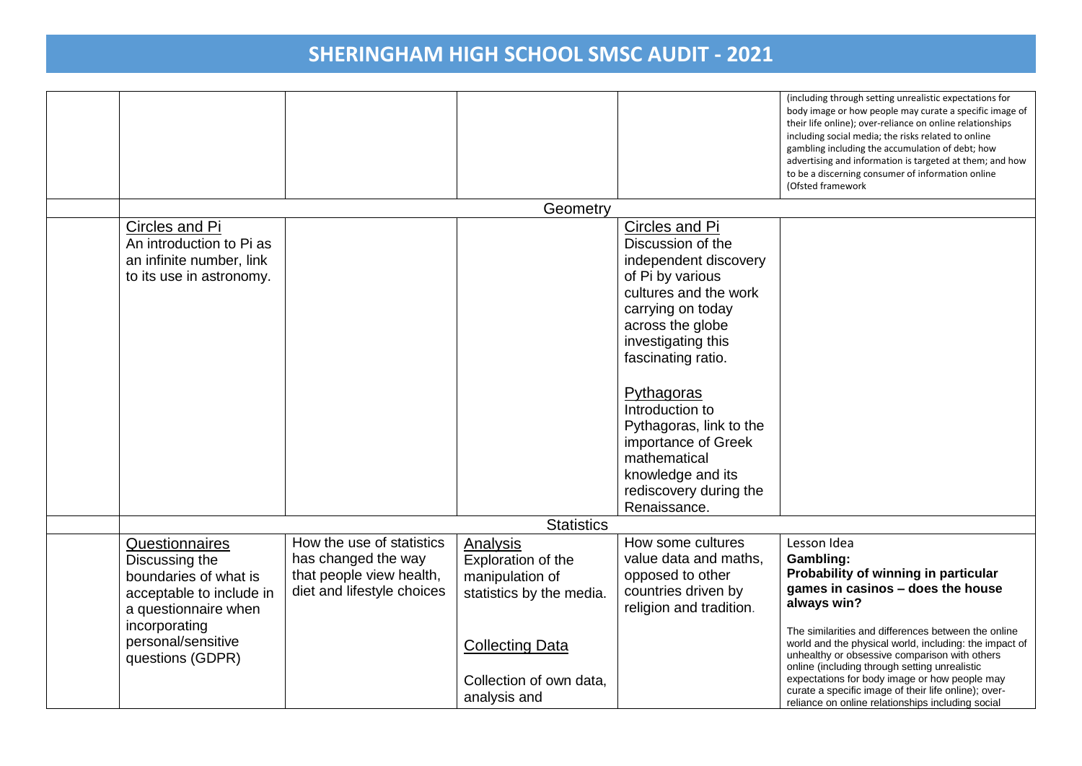|                                                                                                               |                                                                                                            |                                                                               |                                                                                                                                                                                                                                                                                                                                                                  | (including through setting unrealistic expectations for<br>body image or how people may curate a specific image of<br>their life online); over-reliance on online relationships<br>including social media; the risks related to online<br>gambling including the accumulation of debt; how<br>advertising and information is targeted at them; and how<br>to be a discerning consumer of information online<br>(Ofsted framework |
|---------------------------------------------------------------------------------------------------------------|------------------------------------------------------------------------------------------------------------|-------------------------------------------------------------------------------|------------------------------------------------------------------------------------------------------------------------------------------------------------------------------------------------------------------------------------------------------------------------------------------------------------------------------------------------------------------|----------------------------------------------------------------------------------------------------------------------------------------------------------------------------------------------------------------------------------------------------------------------------------------------------------------------------------------------------------------------------------------------------------------------------------|
|                                                                                                               |                                                                                                            | Geometry                                                                      |                                                                                                                                                                                                                                                                                                                                                                  |                                                                                                                                                                                                                                                                                                                                                                                                                                  |
| Circles and Pi<br>An introduction to Pi as<br>an infinite number, link<br>to its use in astronomy.            |                                                                                                            |                                                                               | Circles and Pi<br>Discussion of the<br>independent discovery<br>of Pi by various<br>cultures and the work<br>carrying on today<br>across the globe<br>investigating this<br>fascinating ratio.<br>Pythagoras<br>Introduction to<br>Pythagoras, link to the<br>importance of Greek<br>mathematical<br>knowledge and its<br>rediscovery during the<br>Renaissance. |                                                                                                                                                                                                                                                                                                                                                                                                                                  |
|                                                                                                               |                                                                                                            | <b>Statistics</b>                                                             |                                                                                                                                                                                                                                                                                                                                                                  |                                                                                                                                                                                                                                                                                                                                                                                                                                  |
| Questionnaires<br>Discussing the<br>boundaries of what is<br>acceptable to include in<br>a questionnaire when | How the use of statistics<br>has changed the way<br>that people view health,<br>diet and lifestyle choices | Analysis<br>Exploration of the<br>manipulation of<br>statistics by the media. | How some cultures<br>value data and maths,<br>opposed to other<br>countries driven by<br>religion and tradition.                                                                                                                                                                                                                                                 | Lesson Idea<br>Gambling:<br>Probability of winning in particular<br>games in casinos - does the house<br>always win?                                                                                                                                                                                                                                                                                                             |
| incorporating<br>personal/sensitive<br>questions (GDPR)                                                       |                                                                                                            | <b>Collecting Data</b><br>Collection of own data,<br>analysis and             |                                                                                                                                                                                                                                                                                                                                                                  | The similarities and differences between the online<br>world and the physical world, including: the impact of<br>unhealthy or obsessive comparison with others<br>online (including through setting unrealistic<br>expectations for body image or how people may<br>curate a specific image of their life online); over-<br>reliance on online relationships including social                                                    |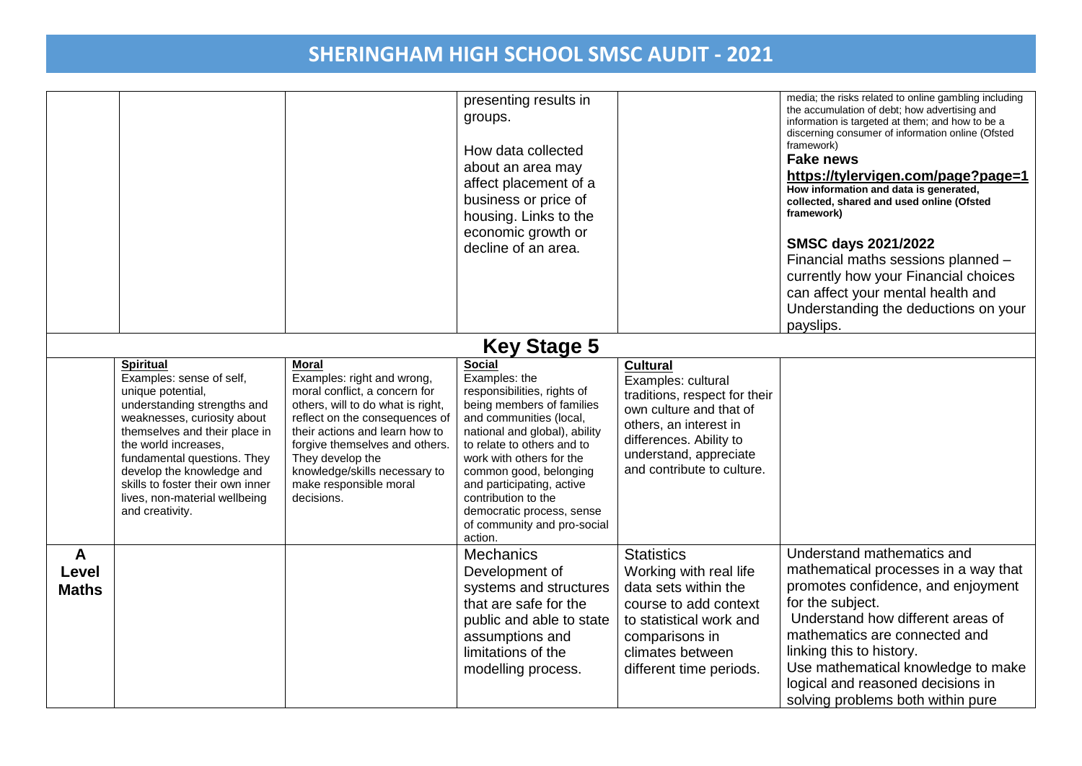|                                       |                                                                                                                                                                                                                                                                                                                                              |                                                                                                                                                                                                                                                                                                                     | presenting results in<br>groups.<br>How data collected<br>about an area may<br>affect placement of a<br>business or price of<br>housing. Links to the<br>economic growth or<br>decline of an area.                                                                                                                                                             |                                                                                                                                                                                                                | media; the risks related to online gambling including<br>the accumulation of debt; how advertising and<br>information is targeted at them; and how to be a<br>discerning consumer of information online (Ofsted<br>framework)<br><b>Fake news</b><br>https://tylervigen.com/page?page=1<br>How information and data is generated,<br>collected, shared and used online (Ofsted<br>framework)<br><b>SMSC days 2021/2022</b><br>Financial maths sessions planned -<br>currently how your Financial choices<br>can affect your mental health and<br>Understanding the deductions on your<br>payslips. |
|---------------------------------------|----------------------------------------------------------------------------------------------------------------------------------------------------------------------------------------------------------------------------------------------------------------------------------------------------------------------------------------------|---------------------------------------------------------------------------------------------------------------------------------------------------------------------------------------------------------------------------------------------------------------------------------------------------------------------|----------------------------------------------------------------------------------------------------------------------------------------------------------------------------------------------------------------------------------------------------------------------------------------------------------------------------------------------------------------|----------------------------------------------------------------------------------------------------------------------------------------------------------------------------------------------------------------|----------------------------------------------------------------------------------------------------------------------------------------------------------------------------------------------------------------------------------------------------------------------------------------------------------------------------------------------------------------------------------------------------------------------------------------------------------------------------------------------------------------------------------------------------------------------------------------------------|
|                                       |                                                                                                                                                                                                                                                                                                                                              |                                                                                                                                                                                                                                                                                                                     | <b>Key Stage 5</b>                                                                                                                                                                                                                                                                                                                                             |                                                                                                                                                                                                                |                                                                                                                                                                                                                                                                                                                                                                                                                                                                                                                                                                                                    |
|                                       | <b>Spiritual</b><br>Examples: sense of self,<br>unique potential,<br>understanding strengths and<br>weaknesses, curiosity about<br>themselves and their place in<br>the world increases,<br>fundamental questions. They<br>develop the knowledge and<br>skills to foster their own inner<br>lives, non-material wellbeing<br>and creativity. | <b>Moral</b><br>Examples: right and wrong,<br>moral conflict, a concern for<br>others, will to do what is right,<br>reflect on the consequences of<br>their actions and learn how to<br>forgive themselves and others.<br>They develop the<br>knowledge/skills necessary to<br>make responsible moral<br>decisions. | Social<br>Examples: the<br>responsibilities, rights of<br>being members of families<br>and communities (local,<br>national and global), ability<br>to relate to others and to<br>work with others for the<br>common good, belonging<br>and participating, active<br>contribution to the<br>democratic process, sense<br>of community and pro-social<br>action. | <b>Cultural</b><br>Examples: cultural<br>traditions, respect for their<br>own culture and that of<br>others, an interest in<br>differences. Ability to<br>understand, appreciate<br>and contribute to culture. |                                                                                                                                                                                                                                                                                                                                                                                                                                                                                                                                                                                                    |
| $\mathbf{A}$<br>Level<br><b>Maths</b> |                                                                                                                                                                                                                                                                                                                                              |                                                                                                                                                                                                                                                                                                                     | <b>Mechanics</b><br>Development of<br>systems and structures<br>that are safe for the<br>public and able to state<br>assumptions and<br>limitations of the<br>modelling process.                                                                                                                                                                               | <b>Statistics</b><br>Working with real life<br>data sets within the<br>course to add context<br>to statistical work and<br>comparisons in<br>climates between<br>different time periods.                       | Understand mathematics and<br>mathematical processes in a way that<br>promotes confidence, and enjoyment<br>for the subject.<br>Understand how different areas of<br>mathematics are connected and<br>linking this to history.<br>Use mathematical knowledge to make<br>logical and reasoned decisions in<br>solving problems both within pure                                                                                                                                                                                                                                                     |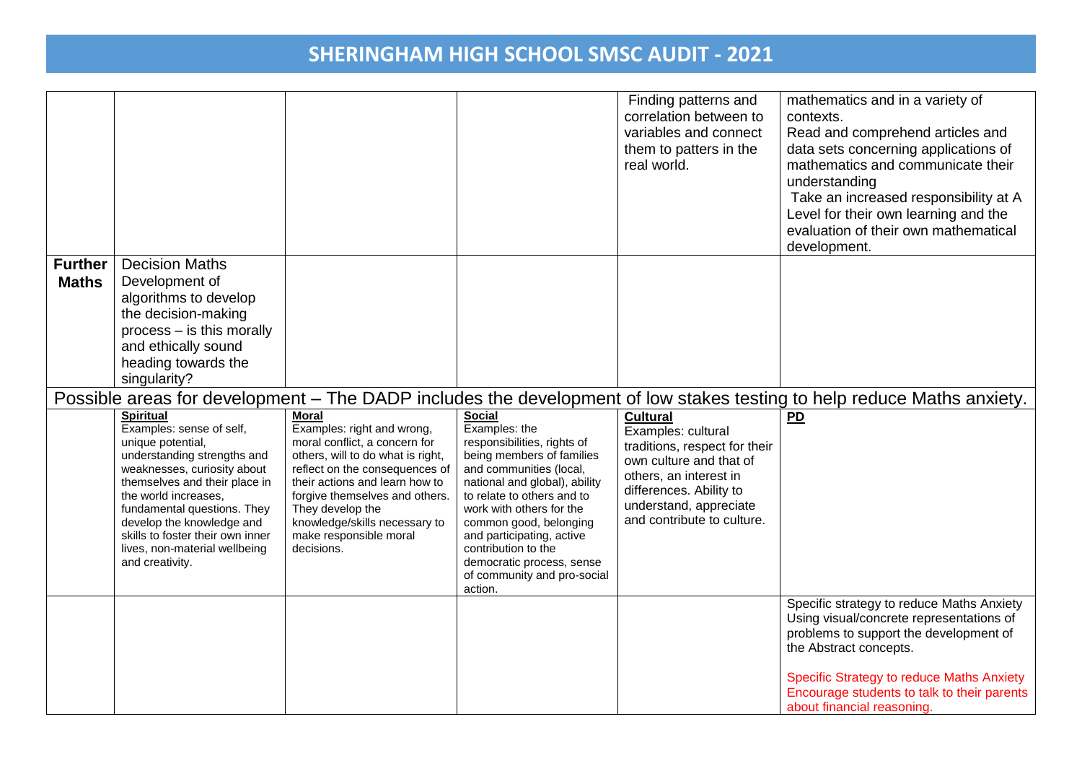|                                |                                                                                                                                                                                                                                                                                                                                              |                                                                                                                                                                                                                                                                                                                     |                                                                                                                                                                                                                                                                                                                                                                       | Finding patterns and<br>correlation between to<br>variables and connect<br>them to patters in the<br>real world.                                                                                               | mathematics and in a variety of<br>contexts.<br>Read and comprehend articles and<br>data sets concerning applications of<br>mathematics and communicate their<br>understanding<br>Take an increased responsibility at A<br>Level for their own learning and the<br>evaluation of their own mathematical<br>development. |
|--------------------------------|----------------------------------------------------------------------------------------------------------------------------------------------------------------------------------------------------------------------------------------------------------------------------------------------------------------------------------------------|---------------------------------------------------------------------------------------------------------------------------------------------------------------------------------------------------------------------------------------------------------------------------------------------------------------------|-----------------------------------------------------------------------------------------------------------------------------------------------------------------------------------------------------------------------------------------------------------------------------------------------------------------------------------------------------------------------|----------------------------------------------------------------------------------------------------------------------------------------------------------------------------------------------------------------|-------------------------------------------------------------------------------------------------------------------------------------------------------------------------------------------------------------------------------------------------------------------------------------------------------------------------|
| <b>Further</b><br><b>Maths</b> | <b>Decision Maths</b><br>Development of                                                                                                                                                                                                                                                                                                      |                                                                                                                                                                                                                                                                                                                     |                                                                                                                                                                                                                                                                                                                                                                       |                                                                                                                                                                                                                |                                                                                                                                                                                                                                                                                                                         |
|                                | algorithms to develop                                                                                                                                                                                                                                                                                                                        |                                                                                                                                                                                                                                                                                                                     |                                                                                                                                                                                                                                                                                                                                                                       |                                                                                                                                                                                                                |                                                                                                                                                                                                                                                                                                                         |
|                                | the decision-making                                                                                                                                                                                                                                                                                                                          |                                                                                                                                                                                                                                                                                                                     |                                                                                                                                                                                                                                                                                                                                                                       |                                                                                                                                                                                                                |                                                                                                                                                                                                                                                                                                                         |
|                                | process - is this morally<br>and ethically sound                                                                                                                                                                                                                                                                                             |                                                                                                                                                                                                                                                                                                                     |                                                                                                                                                                                                                                                                                                                                                                       |                                                                                                                                                                                                                |                                                                                                                                                                                                                                                                                                                         |
|                                | heading towards the                                                                                                                                                                                                                                                                                                                          |                                                                                                                                                                                                                                                                                                                     |                                                                                                                                                                                                                                                                                                                                                                       |                                                                                                                                                                                                                |                                                                                                                                                                                                                                                                                                                         |
|                                | singularity?                                                                                                                                                                                                                                                                                                                                 |                                                                                                                                                                                                                                                                                                                     |                                                                                                                                                                                                                                                                                                                                                                       |                                                                                                                                                                                                                |                                                                                                                                                                                                                                                                                                                         |
|                                |                                                                                                                                                                                                                                                                                                                                              |                                                                                                                                                                                                                                                                                                                     |                                                                                                                                                                                                                                                                                                                                                                       |                                                                                                                                                                                                                | Possible areas for development – The DADP includes the development of low stakes testing to help reduce Maths anxiety.                                                                                                                                                                                                  |
|                                | <b>Spiritual</b><br>Examples: sense of self,<br>unique potential,<br>understanding strengths and<br>weaknesses, curiosity about<br>themselves and their place in<br>the world increases,<br>fundamental questions. They<br>develop the knowledge and<br>skills to foster their own inner<br>lives, non-material wellbeing<br>and creativity. | <b>Moral</b><br>Examples: right and wrong,<br>moral conflict, a concern for<br>others, will to do what is right,<br>reflect on the consequences of<br>their actions and learn how to<br>forgive themselves and others.<br>They develop the<br>knowledge/skills necessary to<br>make responsible moral<br>decisions. | <b>Social</b><br>Examples: the<br>responsibilities, rights of<br>being members of families<br>and communities (local,<br>national and global), ability<br>to relate to others and to<br>work with others for the<br>common good, belonging<br>and participating, active<br>contribution to the<br>democratic process, sense<br>of community and pro-social<br>action. | <b>Cultural</b><br>Examples: cultural<br>traditions, respect for their<br>own culture and that of<br>others, an interest in<br>differences. Ability to<br>understand, appreciate<br>and contribute to culture. | $\overline{PD}$                                                                                                                                                                                                                                                                                                         |
|                                |                                                                                                                                                                                                                                                                                                                                              |                                                                                                                                                                                                                                                                                                                     |                                                                                                                                                                                                                                                                                                                                                                       |                                                                                                                                                                                                                | Specific strategy to reduce Maths Anxiety<br>Using visual/concrete representations of<br>problems to support the development of<br>the Abstract concepts.                                                                                                                                                               |
|                                |                                                                                                                                                                                                                                                                                                                                              |                                                                                                                                                                                                                                                                                                                     |                                                                                                                                                                                                                                                                                                                                                                       |                                                                                                                                                                                                                | <b>Specific Strategy to reduce Maths Anxiety</b><br>Encourage students to talk to their parents<br>about financial reasoning.                                                                                                                                                                                           |